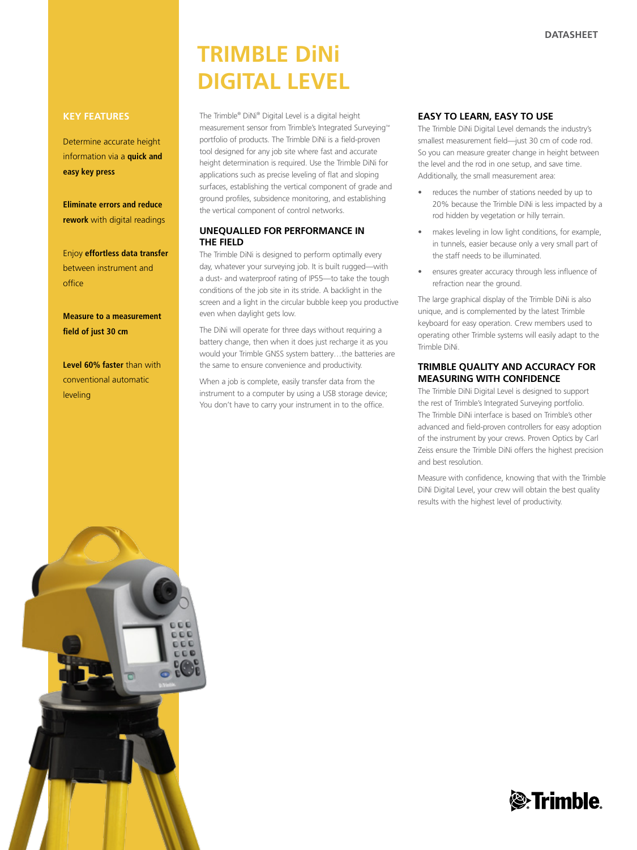# **trimble dini digital level**

The Trimble® DiNi® Digital Level is a digital height measurement sensor from Trimble's Integrated Surveying™ portfolio of products. The Trimble DiNi is a field-proven tool designed for any job site where fast and accurate height determination is required. Use the Trimble DiNi for applications such as precise leveling of flat and sloping surfaces, establishing the vertical component of grade and ground profiles, subsidence monitoring, and establishing the vertical component of control networks.

# **Unequalled for Performance in the Field**

The Trimble DiNi is designed to perform optimally every day, whatever your surveying job. It is built rugged—with a dust- and waterproof rating of IP55—to take the tough conditions of the job site in its stride. A backlight in the screen and a light in the circular bubble keep you productive even when daylight gets low.

The DiNi will operate for three days without requiring a battery change, then when it does just recharge it as you would your Trimble GNSS system battery…the batteries are the same to ensure convenience and productivity.

When a job is complete, easily transfer data from the instrument to a computer by using a USB storage device; You don't have to carry your instrument in to the office.

### **Easy to Learn, Easy to Use**

The Trimble DiNi Digital Level demands the industry's smallest measurement field—just 30 cm of code rod. So you can measure greater change in height between the level and the rod in one setup, and save time. Additionally, the small measurement area:

- reduces the number of stations needed by up to 20% because the Trimble DiNi is less impacted by a rod hidden by vegetation or hilly terrain.
- makes leveling in low light conditions, for example, in tunnels, easier because only a very small part of the staff needs to be illuminated.
- ensures greater accuracy through less influence of refraction near the ground.

The large graphical display of the Trimble DiNi is also unique, and is complemented by the latest Trimble keyboard for easy operation. Crew members used to operating other Trimble systems will easily adapt to the Trimble DiNi.

# **Trimble Quality and Accuracy for Measuring with Confidence**

The Trimble DiNi Digital Level is designed to support the rest of Trimble's Integrated Surveying portfolio. The Trimble DiNi interface is based on Trimble's other advanced and field-proven controllers for easy adoption of the instrument by your crews. Proven Optics by Carl Zeiss ensure the Trimble DiNi offers the highest precision and best resolution.

Measure with confidence, knowing that with the Trimble DiNi Digital Level, your crew will obtain the best quality results with the highest level of productivity.

## **Key Features**

Determine accurate height information via a **quick and easy key press**

**Eliminate errors and reduce rework** with digital readings

Enjoy **effortless data transfer** between instrument and office

**Measure to a measurement field of just 30 cm**

**Level 60% faster** than with conventional automatic leveling